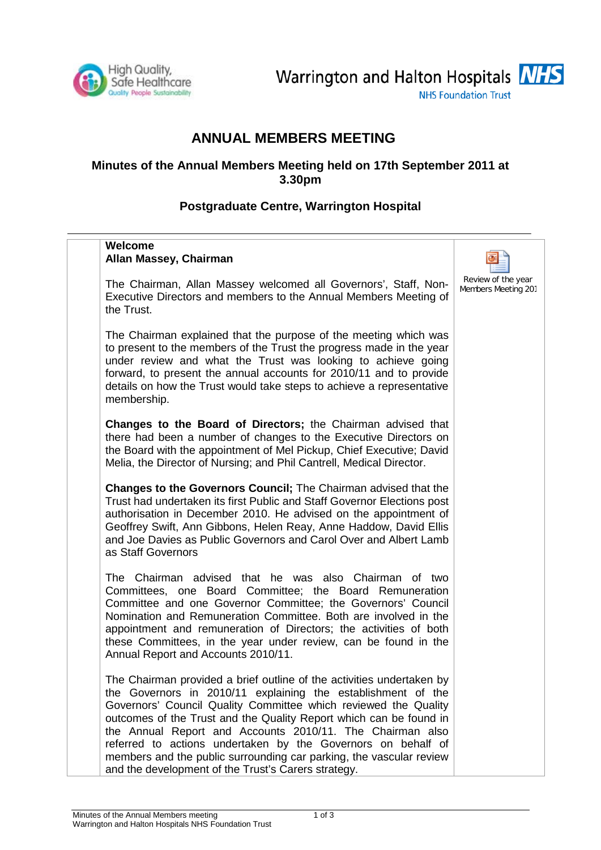

Warrington and Halton Hospitals NHS **NHS Foundation Trust** 

# **ANNUAL MEMBERS MEETING**

## **Minutes of the Annual Members Meeting held on 17th September 2011 at 3.30pm**

## **Postgraduate Centre, Warrington Hospital**

| <b>Welcome</b><br>Allan Massey, Chairman                                                                                                                                                                                                                                                                                                                                                                                                                                                                                                  |                                           |
|-------------------------------------------------------------------------------------------------------------------------------------------------------------------------------------------------------------------------------------------------------------------------------------------------------------------------------------------------------------------------------------------------------------------------------------------------------------------------------------------------------------------------------------------|-------------------------------------------|
| The Chairman, Allan Massey welcomed all Governors', Staff, Non-<br>Executive Directors and members to the Annual Members Meeting of<br>the Trust.                                                                                                                                                                                                                                                                                                                                                                                         | Review of the year<br>Members Meeting 201 |
| The Chairman explained that the purpose of the meeting which was<br>to present to the members of the Trust the progress made in the year<br>under review and what the Trust was looking to achieve going<br>forward, to present the annual accounts for 2010/11 and to provide<br>details on how the Trust would take steps to achieve a representative<br>membership.                                                                                                                                                                    |                                           |
| Changes to the Board of Directors; the Chairman advised that<br>there had been a number of changes to the Executive Directors on<br>the Board with the appointment of Mel Pickup, Chief Executive; David<br>Melia, the Director of Nursing; and Phil Cantrell, Medical Director.                                                                                                                                                                                                                                                          |                                           |
| Changes to the Governors Council; The Chairman advised that the<br>Trust had undertaken its first Public and Staff Governor Elections post<br>authorisation in December 2010. He advised on the appointment of<br>Geoffrey Swift, Ann Gibbons, Helen Reay, Anne Haddow, David Ellis<br>and Joe Davies as Public Governors and Carol Over and Albert Lamb<br>as Staff Governors                                                                                                                                                            |                                           |
| The Chairman advised that he was also Chairman of two<br>Committees, one Board Committee; the Board Remuneration<br>Committee and one Governor Committee; the Governors' Council<br>Nomination and Remuneration Committee. Both are involved in the<br>appointment and remuneration of Directors; the activities of both<br>these Committees, in the year under review, can be found in the<br>Annual Report and Accounts 2010/11.                                                                                                        |                                           |
| The Chairman provided a brief outline of the activities undertaken by<br>the Governors in 2010/11 explaining the establishment of the<br>Governors' Council Quality Committee which reviewed the Quality<br>outcomes of the Trust and the Quality Report which can be found in<br>the Annual Report and Accounts 2010/11. The Chairman also<br>referred to actions undertaken by the Governors on behalf of<br>members and the public surrounding car parking, the vascular review<br>and the development of the Trust's Carers strategy. |                                           |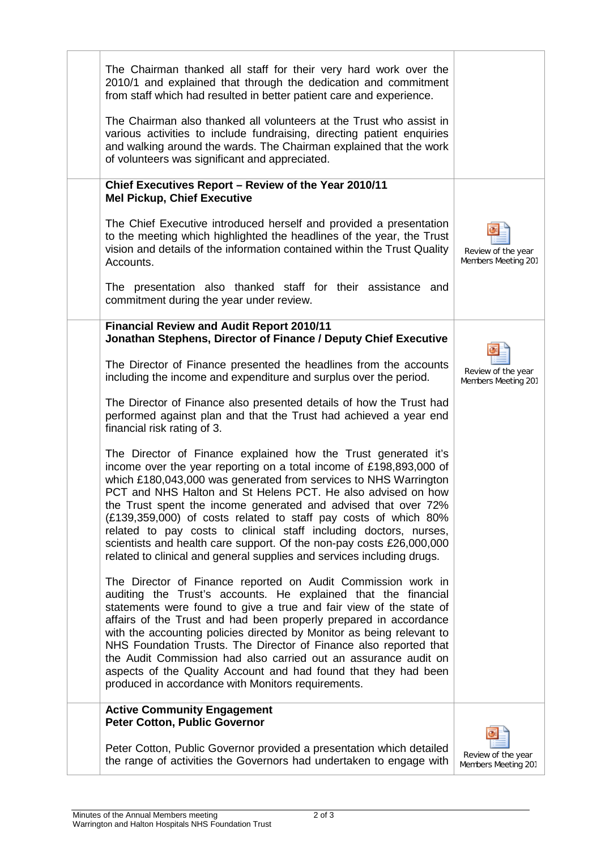| The Chairman thanked all staff for their very hard work over the<br>2010/1 and explained that through the dedication and commitment<br>from staff which had resulted in better patient care and experience.                                                                                                                                                                                                                                                                                                                                                                                                                           |                                           |
|---------------------------------------------------------------------------------------------------------------------------------------------------------------------------------------------------------------------------------------------------------------------------------------------------------------------------------------------------------------------------------------------------------------------------------------------------------------------------------------------------------------------------------------------------------------------------------------------------------------------------------------|-------------------------------------------|
| The Chairman also thanked all volunteers at the Trust who assist in<br>various activities to include fundraising, directing patient enquiries<br>and walking around the wards. The Chairman explained that the work<br>of volunteers was significant and appreciated.                                                                                                                                                                                                                                                                                                                                                                 |                                           |
| Chief Executives Report - Review of the Year 2010/11<br><b>Mel Pickup, Chief Executive</b>                                                                                                                                                                                                                                                                                                                                                                                                                                                                                                                                            |                                           |
| The Chief Executive introduced herself and provided a presentation<br>to the meeting which highlighted the headlines of the year, the Trust<br>vision and details of the information contained within the Trust Quality<br>Accounts.                                                                                                                                                                                                                                                                                                                                                                                                  | Review of the year<br>Members Meeting 201 |
| The presentation also thanked staff for their assistance and<br>commitment during the year under review.                                                                                                                                                                                                                                                                                                                                                                                                                                                                                                                              |                                           |
| <b>Financial Review and Audit Report 2010/11</b><br>Jonathan Stephens, Director of Finance / Deputy Chief Executive                                                                                                                                                                                                                                                                                                                                                                                                                                                                                                                   |                                           |
| The Director of Finance presented the headlines from the accounts<br>including the income and expenditure and surplus over the period.                                                                                                                                                                                                                                                                                                                                                                                                                                                                                                | Review of the year<br>Members Meeting 201 |
| The Director of Finance also presented details of how the Trust had<br>performed against plan and that the Trust had achieved a year end<br>financial risk rating of 3.                                                                                                                                                                                                                                                                                                                                                                                                                                                               |                                           |
| The Director of Finance explained how the Trust generated it's<br>income over the year reporting on a total income of £198,893,000 of<br>which £180,043,000 was generated from services to NHS Warrington<br>PCT and NHS Halton and St Helens PCT. He also advised on how<br>the Trust spent the income generated and advised that over 72%<br>(£139,359,000) of costs related to staff pay costs of which 80%<br>related to pay costs to clinical staff including doctors, nurses,<br>scientists and health care support. Of the non-pay costs £26,000,000<br>related to clinical and general supplies and services including drugs. |                                           |
| The Director of Finance reported on Audit Commission work in<br>auditing the Trust's accounts. He explained that the financial<br>statements were found to give a true and fair view of the state of<br>affairs of the Trust and had been properly prepared in accordance<br>with the accounting policies directed by Monitor as being relevant to<br>NHS Foundation Trusts. The Director of Finance also reported that<br>the Audit Commission had also carried out an assurance audit on<br>aspects of the Quality Account and had found that they had been<br>produced in accordance with Monitors requirements.                   |                                           |
| <b>Active Community Engagement</b><br><b>Peter Cotton, Public Governor</b>                                                                                                                                                                                                                                                                                                                                                                                                                                                                                                                                                            |                                           |
| Peter Cotton, Public Governor provided a presentation which detailed<br>the range of activities the Governors had undertaken to engage with                                                                                                                                                                                                                                                                                                                                                                                                                                                                                           | Review of the year<br>Members Meeting 201 |
|                                                                                                                                                                                                                                                                                                                                                                                                                                                                                                                                                                                                                                       |                                           |